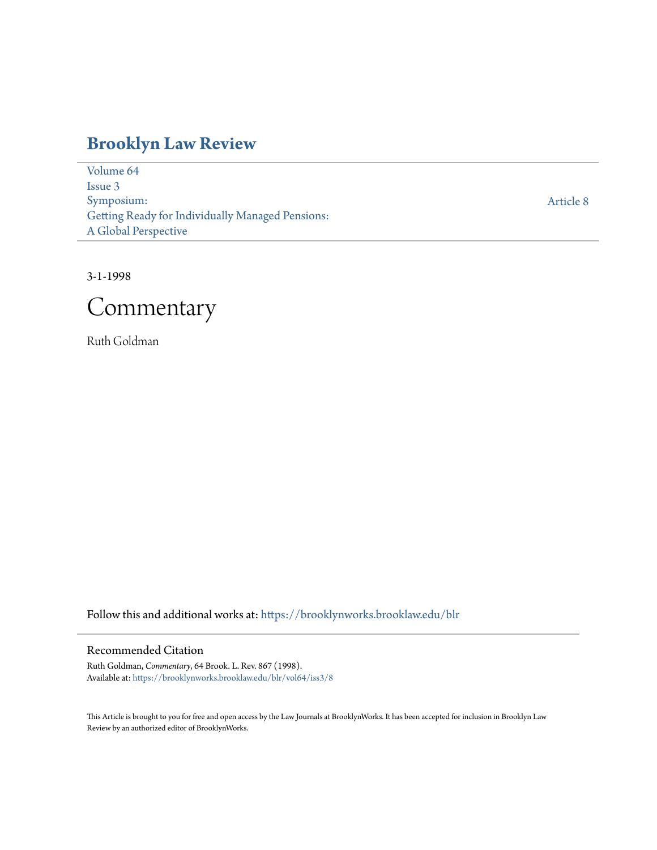# **[Brooklyn Law Review](https://brooklynworks.brooklaw.edu/blr?utm_source=brooklynworks.brooklaw.edu%2Fblr%2Fvol64%2Fiss3%2F8&utm_medium=PDF&utm_campaign=PDFCoverPages)**

[Volume 64](https://brooklynworks.brooklaw.edu/blr/vol64?utm_source=brooklynworks.brooklaw.edu%2Fblr%2Fvol64%2Fiss3%2F8&utm_medium=PDF&utm_campaign=PDFCoverPages) [Issue 3](https://brooklynworks.brooklaw.edu/blr/vol64/iss3?utm_source=brooklynworks.brooklaw.edu%2Fblr%2Fvol64%2Fiss3%2F8&utm_medium=PDF&utm_campaign=PDFCoverPages) Symposium: Getting Ready for Individually Managed Pensions: A Global Perspective

[Article 8](https://brooklynworks.brooklaw.edu/blr/vol64/iss3/8?utm_source=brooklynworks.brooklaw.edu%2Fblr%2Fvol64%2Fiss3%2F8&utm_medium=PDF&utm_campaign=PDFCoverPages)

3-1-1998



Ruth Goldman

Follow this and additional works at: [https://brooklynworks.brooklaw.edu/blr](https://brooklynworks.brooklaw.edu/blr?utm_source=brooklynworks.brooklaw.edu%2Fblr%2Fvol64%2Fiss3%2F8&utm_medium=PDF&utm_campaign=PDFCoverPages)

#### Recommended Citation

Ruth Goldman, *Commentary*, 64 Brook. L. Rev. 867 (1998). Available at: [https://brooklynworks.brooklaw.edu/blr/vol64/iss3/8](https://brooklynworks.brooklaw.edu/blr/vol64/iss3/8?utm_source=brooklynworks.brooklaw.edu%2Fblr%2Fvol64%2Fiss3%2F8&utm_medium=PDF&utm_campaign=PDFCoverPages)

This Article is brought to you for free and open access by the Law Journals at BrooklynWorks. It has been accepted for inclusion in Brooklyn Law Review by an authorized editor of BrooklynWorks.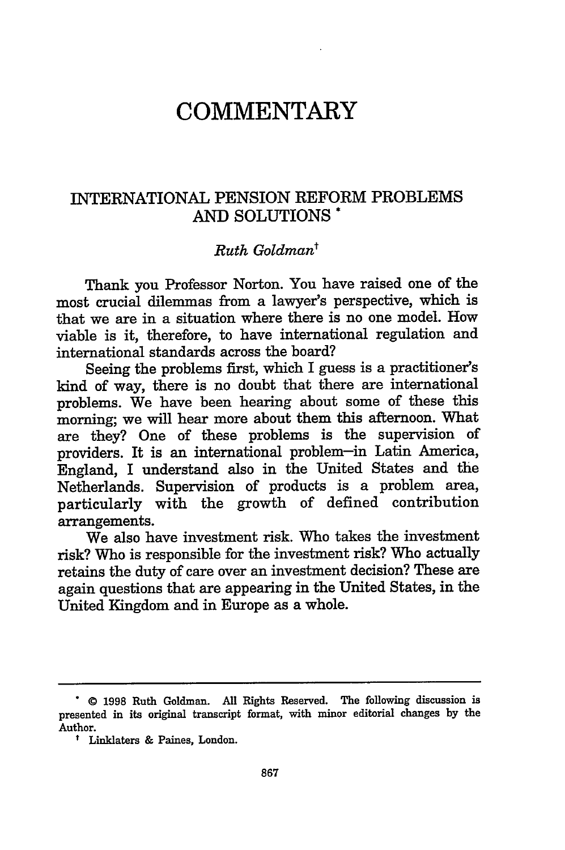## **COMMENTARY**

### INTERNATIONAL PENSION REFORM PROBLEMS **AND** SOLUTIONS \*

### *Ruth Goldmant*

Thank you Professor Norton. You have raised one of the most crucial dilemmas from a lawyer's perspective, which is that we are in a situation where there is no one model. How viable is it, therefore, to have international regulation and international standards across the board?

Seeing the problems first, which I guess is a practitioner's kind of way, there is no doubt that there are international problems. We have been hearing about some of these this morning; we will hear more about them this afternoon. What are they? One of these problems is the supervision of providers. It is an international problem-in Latin America, England, I understand also in the United States and the Netherlands. Supervision of products is a problem area, particularly with the growth of defined contribution arrangements.

We also have investment risk. Who takes the investment risk? Who is responsible for the investment risk? Who actually retains the duty of care over an investment decision? These are again questions that are appearing in the United States, in the United Kingdom and in Europe as a whole.

**<sup>.</sup>** © **1998** Ruth Goldman. **All** Rights Reserved. The following discussion is presented in its original transcript format, with minor editorial changes **by** the Author.

**t** Linklaters **&** Paines, London.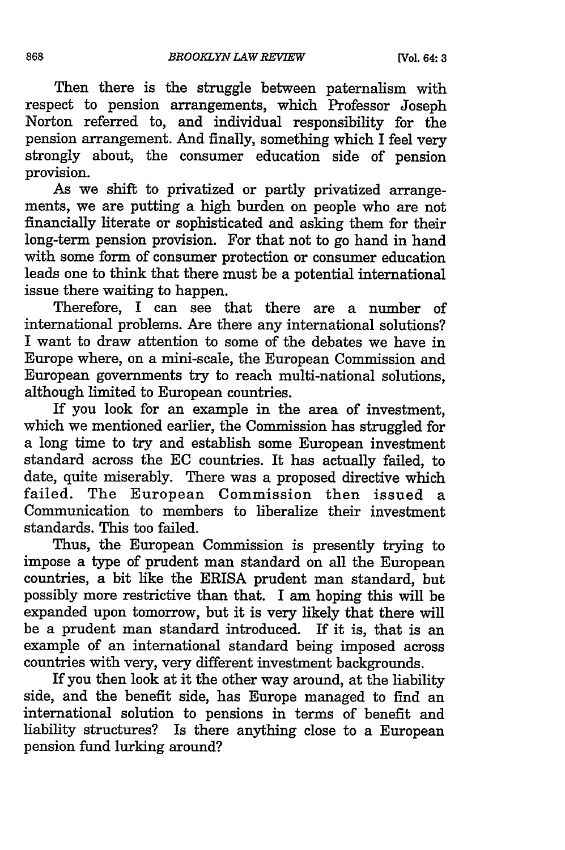Then there is the struggle between paternalism with respect to pension arrangements, which Professor Joseph Norton referred to, and individual responsibility for the pension arrangement. And finally, something which I feel very strongly about, the consumer education side of pension provision.

As we shift to privatized or partly privatized arrangements, we are putting a high burden on people who are not financially literate or sophisticated and asking them for their long-term pension provision. For that not to go hand in hand with some form of consumer protection or consumer education leads one to think that there must be a potential international issue there waiting to happen.

Therefore, I can see that there are a number of international problems. Are there any international solutions? I want to draw attention to some of the debates we have in Europe where, on a mini-scale, the European Commission and European governments try to reach multi-national solutions, although limited to European countries.

If you look for an example in the area of investment, which we mentioned earlier, the Commission has struggled for a long time to try and establish some European investment standard across the EC countries. It has actually failed, to date, quite miserably. There was a proposed directive which failed. The European Commission then issued a Communication to members to liberalize their investment standards. This too failed.

Thus, the European Commission is presently trying to impose a type of prudent man standard on all the European countries, a bit like the ERISA prudent man standard, but possibly more restrictive than that. I am hoping this will be expanded upon tomorrow, but it is very likely that there will be a prudent man standard introduced. If it is, that is an example of an international standard being imposed across countries with very, very different investment backgrounds.

If you then look at it the other way around, at the liability side, and the benefit side, has Europe managed to find an international solution to pensions in terms of benefit and liability structures? Is there anything close to a European pension fund lurking around?